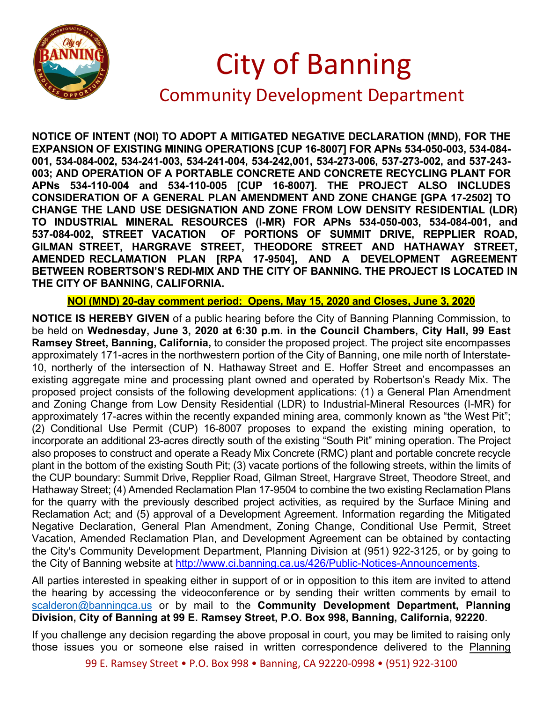

## City of Banning Community Development Department

**NOTICE OF INTENT (NOI) TO ADOPT A MITIGATED NEGATIVE DECLARATION (MND), FOR THE EXPANSION OF EXISTING MINING OPERATIONS [CUP 16-8007] FOR APNs 534-050-003, 534-084- 001, 534-084-002, 534-241-003, 534-241-004, 534-242,001, 534-273-006, 537-273-002, and 537-243- 003; AND OPERATION OF A PORTABLE CONCRETE AND CONCRETE RECYCLING PLANT FOR APNs 534-110-004 and 534-110-005 [CUP 16-8007]. THE PROJECT ALSO INCLUDES CONSIDERATION OF A GENERAL PLAN AMENDMENT AND ZONE CHANGE [GPA 17-2502] TO CHANGE THE LAND USE DESIGNATION AND ZONE FROM LOW DENSITY RESIDENTIAL (LDR) TO INDUSTRIAL MINERAL RESOURCES (I-MR) FOR APNs 534-050-003, 534-084-001, and 537-084-002, STREET VACATION OF PORTIONS OF SUMMIT DRIVE, REPPLIER ROAD, GILMAN STREET, HARGRAVE STREET, THEODORE STREET AND HATHAWAY STREET, AMENDED RECLAMATION PLAN [RPA 17-9504], AND A DEVELOPMENT AGREEMENT BETWEEN ROBERTSON'S REDI-MIX AND THE CITY OF BANNING. THE PROJECT IS LOCATED IN THE CITY OF BANNING, CALIFORNIA.**

**NOI (MND) 20-day comment period: Opens, May 15, 2020 and Closes, June 3, 2020**

**NOTICE IS HEREBY GIVEN** of a public hearing before the City of Banning Planning Commission, to be held on **Wednesday, June 3, 2020 at 6:30 p.m. in the Council Chambers, City Hall, 99 East Ramsey Street, Banning, California,** to consider the proposed project. The project site encompasses approximately 171-acres in the northwestern portion of the City of Banning, one mile north of Interstate-10, northerly of the intersection of N. Hathaway Street and E. Hoffer Street and encompasses an existing aggregate mine and processing plant owned and operated by Robertson's Ready Mix. The proposed project consists of the following development applications: (1) a General Plan Amendment and Zoning Change from Low Density Residential (LDR) to Industrial-Mineral Resources (I-MR) for approximately 17-acres within the recently expanded mining area, commonly known as "the West Pit"; (2) Conditional Use Permit (CUP) 16-8007 proposes to expand the existing mining operation, to incorporate an additional 23-acres directly south of the existing "South Pit" mining operation. The Project also proposes to construct and operate a Ready Mix Concrete (RMC) plant and portable concrete recycle plant in the bottom of the existing South Pit; (3) vacate portions of the following streets, within the limits of the CUP boundary: Summit Drive, Repplier Road, Gilman Street, Hargrave Street, Theodore Street, and Hathaway Street; (4) Amended Reclamation Plan 17-9504 to combine the two existing Reclamation Plans for the quarry with the previously described project activities, as required by the Surface Mining and Reclamation Act; and (5) approval of a Development Agreement. Information regarding the Mitigated Negative Declaration, General Plan Amendment, Zoning Change, Conditional Use Permit, Street Vacation, Amended Reclamation Plan, and Development Agreement can be obtained by contacting the City's Community Development Department, Planning Division at (951) 922-3125, or by going to the City of Banning website at [http://www.ci.banning.ca.us/426/Public-Notices-Announcements.](http://www.ci.banning.ca.us/426/Public-Notices-Announcements)

All parties interested in speaking either in support of or in opposition to this item are invited to attend the hearing by accessing the videoconference or by sending their written comments by email to [scalderon@banningca.us](mailto:scalderon@banningca.us) or by mail to the **Community Development Department, Planning Division, City of Banning at 99 E. Ramsey Street, P.O. Box 998, Banning, California, 92220**.

If you challenge any decision regarding the above proposal in court, you may be limited to raising only those issues you or someone else raised in written correspondence delivered to the Planning